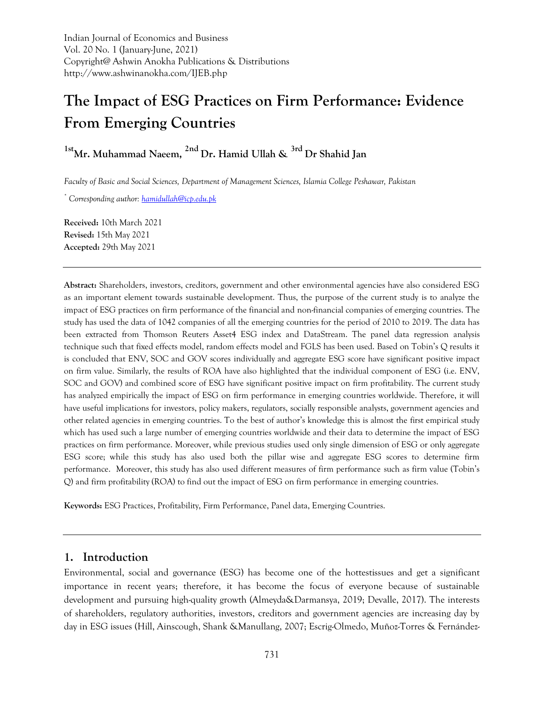Indian Journal of Economics and Business Vol. 20 No. 1 (January-June, 2021) Copyright@ Ashwin Anokha Publications & Distributions http://www.ashwinanokha.com/IJEB.php

# **The Impact of ESG Practices on Firm Performance: Evidence From Emerging Countries**

**1stMr. Muhammad Naeem, 2nd Dr. Hamid Ullah & 3rd Dr Shahid Jan**

*Faculty of Basic and Social Sciences, Department of Management Sciences, Islamia College Peshawar, Pakistan* 

*\* Corresponding author: [hamidullah@icp.edu.pk](mailto:hamidullah@icp.edu.pk)*

**Received:** 10th March 2021 **Revised:** 15th May 2021 **Accepted:** 29th May 2021

**Abstract:** Shareholders, investors, creditors, government and other environmental agencies have also considered ESG as an important element towards sustainable development. Thus, the purpose of the current study is to analyze the impact of ESG practices on firm performance of the financial and non-financial companies of emerging countries. The study has used the data of 1042 companies of all the emerging countries for the period of 2010 to 2019. The data has been extracted from Thomson Reuters Asset4 ESG index and DataStream. The panel data regression analysis technique such that fixed effects model, random effects model and FGLS has been used. Based on Tobin's Q results it is concluded that ENV, SOC and GOV scores individually and aggregate ESG score have significant positive impact on firm value. Similarly, the results of ROA have also highlighted that the individual component of ESG (i.e. ENV, SOC and GOV) and combined score of ESG have significant positive impact on firm profitability. The current study has analyzed empirically the impact of ESG on firm performance in emerging countries worldwide. Therefore, it will have useful implications for investors, policy makers, regulators, socially responsible analysts, government agencies and other related agencies in emerging countries. To the best of author's knowledge this is almost the first empirical study which has used such a large number of emerging countries worldwide and their data to determine the impact of ESG practices on firm performance. Moreover, while previous studies used only single dimension of ESG or only aggregate ESG score; while this study has also used both the pillar wise and aggregate ESG scores to determine firm performance. Moreover, this study has also used different measures of firm performance such as firm value (Tobin's Q) and firm profitability (ROA) to find out the impact of ESG on firm performance in emerging countries.

**Keywords:** ESG Practices, Profitability, Firm Performance, Panel data, Emerging Countries.

### **1. Introduction**

Environmental, social and governance (ESG) has become one of the hottestissues and get a significant importance in recent years; therefore, it has become the focus of everyone because of sustainable development and pursuing high-quality growth (Almeyda&Darmansya, 2019; Devalle, 2017). The interests of shareholders, regulatory authorities, investors, creditors and government agencies are increasing day by day in ESG issues (Hill, Ainscough, Shank &Manullang, 2007; Escrig-Olmedo, Muñoz-Torres & Fernández-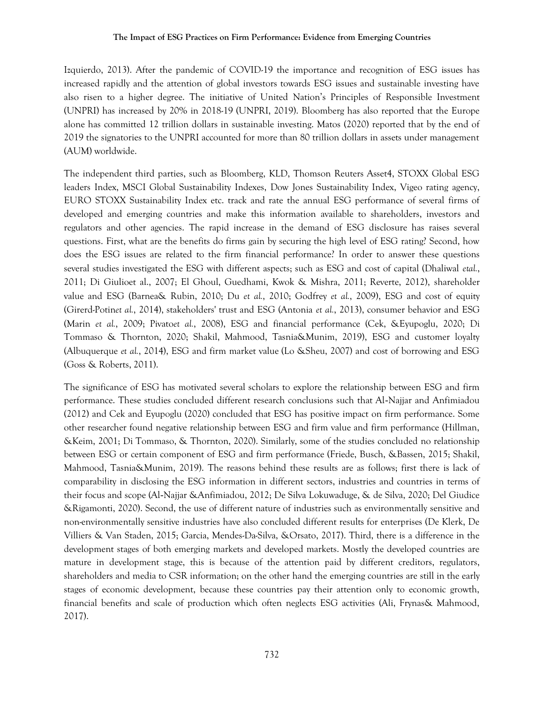Izquierdo, 2013). After the pandemic of COVID-19 the importance and recognition of ESG issues has increased rapidly and the attention of global investors towards ESG issues and sustainable investing have also risen to a higher degree. The initiative of United Nation's Principles of Responsible Investment (UNPRI) has increased by 20% in 2018-19 (UNPRI, 2019). Bloomberg has also reported that the Europe alone has committed 12 trillion dollars in sustainable investing. Matos (2020) reported that by the end of 2019 the signatories to the UNPRI accounted for more than 80 trillion dollars in assets under management (AUM) worldwide.

The independent third parties, such as Bloomberg, KLD, Thomson Reuters Asset4, STOXX Global ESG leaders Index, MSCI Global Sustainability Indexes, Dow Jones Sustainability Index, Vigeo rating agency, EURO STOXX Sustainability Index etc. track and rate the annual ESG performance of several firms of developed and emerging countries and make this information available to shareholders, investors and regulators and other agencies. The rapid increase in the demand of ESG disclosure has raises several questions. First, what are the benefits do firms gain by securing the high level of ESG rating? Second, how does the ESG issues are related to the firm financial performance? In order to answer these questions several studies investigated the ESG with different aspects; such as ESG and cost of capital (Dhaliwal *etal.*, 2011; Di Giulioet al., 2007; El Ghoul, Guedhami, Kwok & Mishra, 2011; Reverte, 2012), shareholder value and ESG (Barnea& Rubin, 2010; Du *et al.*, 2010; Godfrey *et al.*, 2009), ESG and cost of equity (Girerd-Potin*et al.*, 2014), stakeholders' trust and ESG (Antonia *et al.*, 2013), consumer behavior and ESG (Marin *et al.*, 2009; Pivato*et al.*, 2008), ESG and financial performance (Cek, &Eyupoglu, 2020; Di Tommaso & Thornton, 2020; Shakil, Mahmood, Tasnia&Munim, 2019), ESG and customer loyalty (Albuquerque *et al.*, 2014), ESG and firm market value (Lo &Sheu, 2007) and cost of borrowing and ESG (Goss & Roberts, 2011).

The significance of ESG has motivated several scholars to explore the relationship between ESG and firm performance. These studies concluded different research conclusions such that Al‐Najjar and Anfimiadou (2012) and Cek and Eyupoglu (2020) concluded that ESG has positive impact on firm performance. Some other researcher found negative relationship between ESG and firm value and firm performance (Hillman, &Keim, 2001; Di Tommaso, & Thornton, 2020). Similarly, some of the studies concluded no relationship between ESG or certain component of ESG and firm performance (Friede, Busch, &Bassen, 2015; Shakil, Mahmood, Tasnia&Munim, 2019). The reasons behind these results are as follows; first there is lack of comparability in disclosing the ESG information in different sectors, industries and countries in terms of their focus and scope (Al‐Najjar &Anfimiadou, 2012; De Silva Lokuwaduge, & de Silva, 2020; Del Giudice &Rigamonti, 2020). Second, the use of different nature of industries such as environmentally sensitive and non-environmentally sensitive industries have also concluded different results for enterprises (De Klerk, De Villiers & Van Staden, 2015; Garcia, Mendes-Da-Silva, &Orsato, 2017). Third, there is a difference in the development stages of both emerging markets and developed markets. Mostly the developed countries are mature in development stage, this is because of the attention paid by different creditors, regulators, shareholders and media to CSR information; on the other hand the emerging countries are still in the early stages of economic development, because these countries pay their attention only to economic growth, financial benefits and scale of production which often neglects ESG activities (Ali, Frynas& Mahmood, 2017).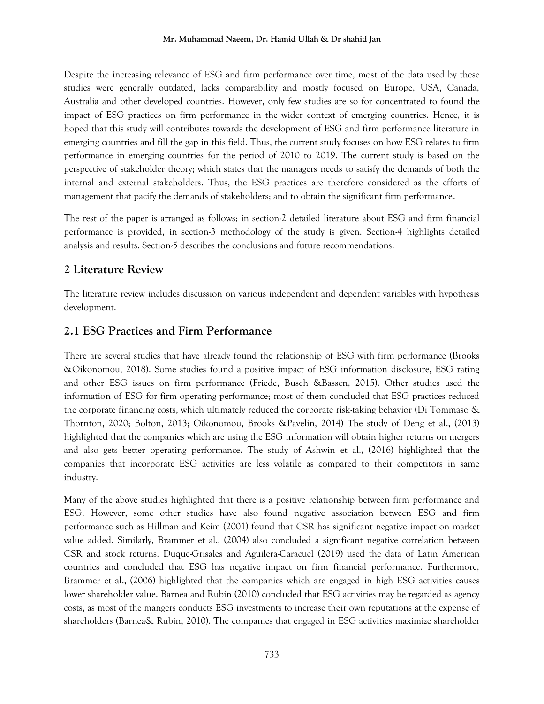Despite the increasing relevance of ESG and firm performance over time, most of the data used by these studies were generally outdated, lacks comparability and mostly focused on Europe, USA, Canada, Australia and other developed countries. However, only few studies are so for concentrated to found the impact of ESG practices on firm performance in the wider context of emerging countries. Hence, it is hoped that this study will contributes towards the development of ESG and firm performance literature in emerging countries and fill the gap in this field. Thus, the current study focuses on how ESG relates to firm performance in emerging countries for the period of 2010 to 2019. The current study is based on the perspective of stakeholder theory; which states that the managers needs to satisfy the demands of both the internal and external stakeholders. Thus, the ESG practices are therefore considered as the efforts of management that pacify the demands of stakeholders; and to obtain the significant firm performance.

The rest of the paper is arranged as follows; in section-2 detailed literature about ESG and firm financial performance is provided, in section-3 methodology of the study is given. Section-4 highlights detailed analysis and results. Section-5 describes the conclusions and future recommendations.

# **2 Literature Review**

The literature review includes discussion on various independent and dependent variables with hypothesis development.

# **2.1 ESG Practices and Firm Performance**

There are several studies that have already found the relationship of ESG with firm performance (Brooks &Oikonomou, 2018). Some studies found a positive impact of ESG information disclosure, ESG rating and other ESG issues on firm performance (Friede, Busch &Bassen, 2015). Other studies used the information of ESG for firm operating performance; most of them concluded that ESG practices reduced the corporate financing costs, which ultimately reduced the corporate risk-taking behavior (Di Tommaso & Thornton, 2020; Bolton, 2013; Oikonomou, Brooks &Pavelin, 2014) The study of Deng et al., (2013) highlighted that the companies which are using the ESG information will obtain higher returns on mergers and also gets better operating performance. The study of Ashwin et al., (2016) highlighted that the companies that incorporate ESG activities are less volatile as compared to their competitors in same industry.

Many of the above studies highlighted that there is a positive relationship between firm performance and ESG. However, some other studies have also found negative association between ESG and firm performance such as Hillman and Keim (2001) found that CSR has significant negative impact on market value added. Similarly, Brammer et al., (2004) also concluded a significant negative correlation between CSR and stock returns. Duque-Grisales and Aguilera-Caracuel (2019) used the data of Latin American countries and concluded that ESG has negative impact on firm financial performance. Furthermore, Brammer et al., (2006) highlighted that the companies which are engaged in high ESG activities causes lower shareholder value. Barnea and Rubin (2010) concluded that ESG activities may be regarded as agency costs, as most of the mangers conducts ESG investments to increase their own reputations at the expense of shareholders (Barnea& Rubin, 2010). The companies that engaged in ESG activities maximize shareholder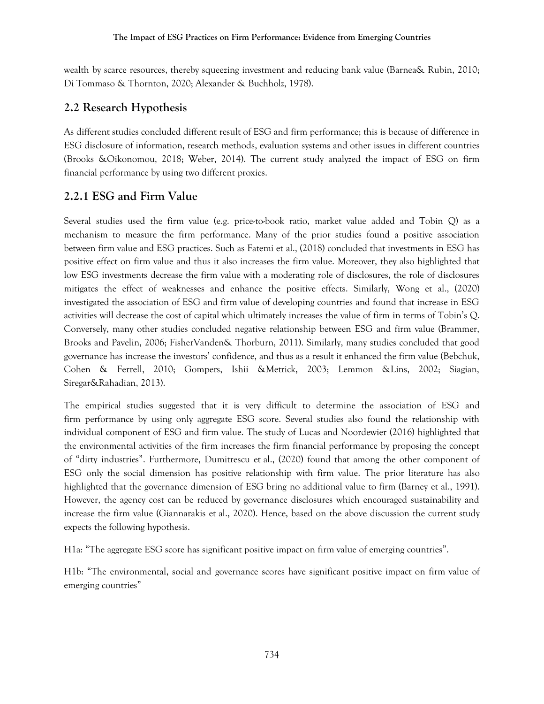wealth by scarce resources, thereby squeezing investment and reducing bank value (Barnea& Rubin, 2010; Di Tommaso & Thornton, 2020; Alexander & Buchholz, 1978).

# **2.2 Research Hypothesis**

As different studies concluded different result of ESG and firm performance; this is because of difference in ESG disclosure of information, research methods, evaluation systems and other issues in different countries (Brooks &Oikonomou, 2018; Weber, 2014). The current study analyzed the impact of ESG on firm financial performance by using two different proxies.

# **2.2.1 ESG and Firm Value**

Several studies used the firm value (e.g. price-to-book ratio, market value added and Tobin Q) as a mechanism to measure the firm performance. Many of the prior studies found a positive association between firm value and ESG practices. Such as Fatemi et al., (2018) concluded that investments in ESG has positive effect on firm value and thus it also increases the firm value. Moreover, they also highlighted that low ESG investments decrease the firm value with a moderating role of disclosures, the role of disclosures mitigates the effect of weaknesses and enhance the positive effects. Similarly, Wong et al., (2020) investigated the association of ESG and firm value of developing countries and found that increase in ESG activities will decrease the cost of capital which ultimately increases the value of firm in terms of Tobin's Q. Conversely, many other studies concluded negative relationship between ESG and firm value (Brammer, Brooks and Pavelin, 2006; FisherVanden& Thorburn, 2011). Similarly, many studies concluded that good governance has increase the investors' confidence, and thus as a result it enhanced the firm value (Bebchuk, Cohen & Ferrell, 2010; Gompers, Ishii &Metrick, 2003; Lemmon &Lins, 2002; Siagian, Siregar&Rahadian, 2013).

The empirical studies suggested that it is very difficult to determine the association of ESG and firm performance by using only aggregate ESG score. Several studies also found the relationship with individual component of ESG and firm value. The study of Lucas and Noordewier (2016) highlighted that the environmental activities of the firm increases the firm financial performance by proposing the concept of "dirty industries". Furthermore, Dumitrescu et al., (2020) found that among the other component of ESG only the social dimension has positive relationship with firm value. The prior literature has also highlighted that the governance dimension of ESG bring no additional value to firm (Barney et al., 1991). However, the agency cost can be reduced by governance disclosures which encouraged sustainability and increase the firm value (Giannarakis et al., 2020). Hence, based on the above discussion the current study expects the following hypothesis.

H1a: "The aggregate ESG score has significant positive impact on firm value of emerging countries".

H1b: "The environmental, social and governance scores have significant positive impact on firm value of emerging countries"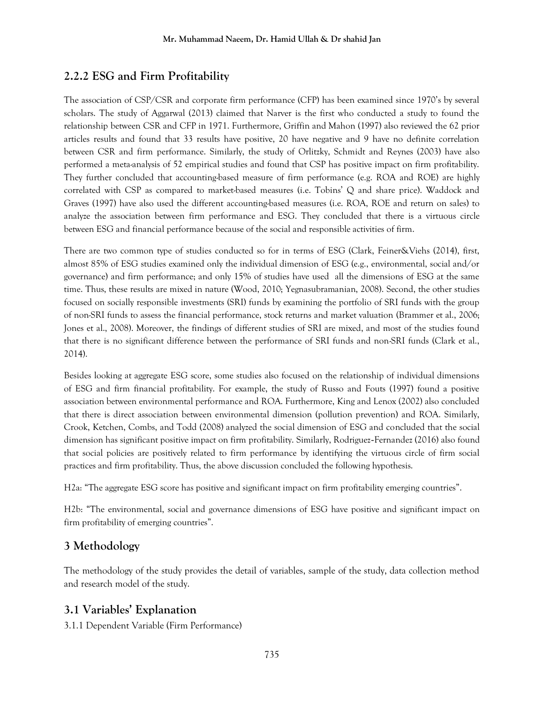# **2.2.2 ESG and Firm Profitability**

The association of CSP/CSR and corporate firm performance (CFP) has been examined since 1970's by several scholars. The study of Aggarwal (2013) claimed that Narver is the first who conducted a study to found the relationship between CSR and CFP in 1971. Furthermore, Griffin and Mahon (1997) also reviewed the 62 prior articles results and found that 33 results have positive, 20 have negative and 9 have no definite correlation between CSR and firm performance. Similarly, the study of Orlitzky, Schmidt and Reynes (2003) have also performed a meta-analysis of 52 empirical studies and found that CSP has positive impact on firm profitability. They further concluded that accounting-based measure of firm performance (e.g. ROA and ROE) are highly correlated with CSP as compared to market-based measures (i.e. Tobins' Q and share price). Waddock and Graves (1997) have also used the different accounting-based measures (i.e. ROA, ROE and return on sales) to analyze the association between firm performance and ESG. They concluded that there is a virtuous circle between ESG and financial performance because of the social and responsible activities of firm.

There are two common type of studies conducted so for in terms of ESG (Clark, Feiner&Viehs (2014), first, almost 85% of ESG studies examined only the individual dimension of ESG (e.g., environmental, social and/or governance) and firm performance; and only 15% of studies have used all the dimensions of ESG at the same time. Thus, these results are mixed in nature (Wood, 2010; Yegnasubramanian, 2008). Second, the other studies focused on socially responsible investments (SRI) funds by examining the portfolio of SRI funds with the group of non-SRI funds to assess the financial performance, stock returns and market valuation (Brammer et al., 2006; Jones et al., 2008). Moreover, the findings of different studies of SRI are mixed, and most of the studies found that there is no significant difference between the performance of SRI funds and non-SRI funds (Clark et al., 2014).

Besides looking at aggregate ESG score, some studies also focused on the relationship of individual dimensions of ESG and firm financial profitability. For example, the study of Russo and Fouts (1997) found a positive association between environmental performance and ROA. Furthermore, King and Lenox (2002) also concluded that there is direct association between environmental dimension (pollution prevention) and ROA. Similarly, Crook, Ketchen, Combs, and Todd (2008) analyzed the social dimension of ESG and concluded that the social dimension has significant positive impact on firm profitability. Similarly, Rodriguez‐Fernandez (2016) also found that social policies are positively related to firm performance by identifying the virtuous circle of firm social practices and firm profitability. Thus, the above discussion concluded the following hypothesis.

H2a: "The aggregate ESG score has positive and significant impact on firm profitability emerging countries".

H2b: "The environmental, social and governance dimensions of ESG have positive and significant impact on firm profitability of emerging countries".

# **3 Methodology**

The methodology of the study provides the detail of variables, sample of the study, data collection method and research model of the study.

# **3.1 Variables' Explanation**

3.1.1 Dependent Variable (Firm Performance)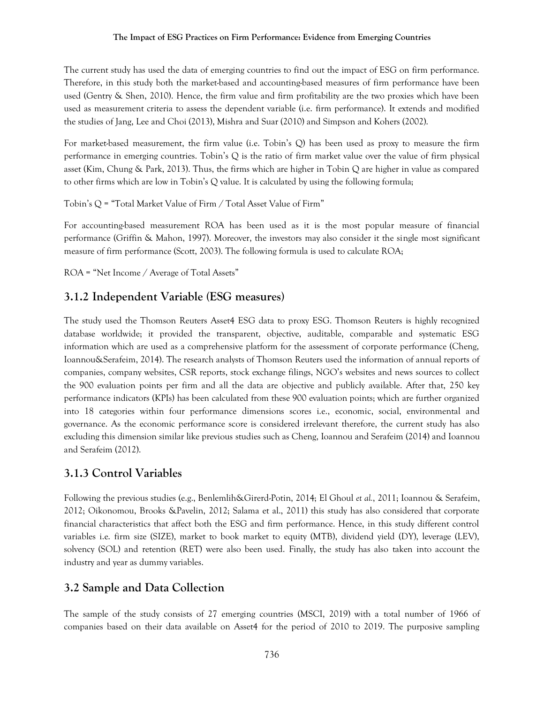The current study has used the data of emerging countries to find out the impact of ESG on firm performance. Therefore, in this study both the market-based and accounting-based measures of firm performance have been used (Gentry & Shen, 2010). Hence, the firm value and firm profitability are the two proxies which have been used as measurement criteria to assess the dependent variable (i.e. firm performance). It extends and modified the studies of Jang, Lee and Choi (2013), Mishra and Suar (2010) and Simpson and Kohers (2002).

For market-based measurement, the firm value (i.e. Tobin's Q) has been used as proxy to measure the firm performance in emerging countries. Tobin's Q is the ratio of firm market value over the value of firm physical asset (Kim, Chung & Park, 2013). Thus, the firms which are higher in Tobin Q are higher in value as compared to other firms which are low in Tobin's Q value. It is calculated by using the following formula;

Tobin's Q = "Total Market Value of Firm / Total Asset Value of Firm"

For accounting-based measurement ROA has been used as it is the most popular measure of financial performance (Griffin & Mahon, 1997). Moreover, the investors may also consider it the single most significant measure of firm performance (Scott, 2003). The following formula is used to calculate ROA;

ROA = "Net Income / Average of Total Assets"

### **3.1.2 Independent Variable (ESG measures)**

The study used the Thomson Reuters Asset4 ESG data to proxy ESG. Thomson Reuters is highly recognized database worldwide; it provided the transparent, objective, auditable, comparable and systematic ESG information which are used as a comprehensive platform for the assessment of corporate performance (Cheng, Ioannou&Serafeim, 2014). The research analysts of Thomson Reuters used the information of annual reports of companies, company websites, CSR reports, stock exchange filings, NGO's websites and news sources to collect the 900 evaluation points per firm and all the data are objective and publicly available. After that, 250 key performance indicators (KPIs) has been calculated from these 900 evaluation points; which are further organized into 18 categories within four performance dimensions scores i.e., economic, social, environmental and governance. As the economic performance score is considered irrelevant therefore, the current study has also excluding this dimension similar like previous studies such as Cheng, Ioannou and Serafeim (2014) and Ioannou and Serafeim (2012).

# **3.1.3 Control Variables**

Following the previous studies (e.g., Benlemlih&Girerd-Potin, 2014; El Ghoul *et al.*, 2011; Ioannou & Serafeim, 2012; Oikonomou, Brooks &Pavelin, 2012; Salama et al., 2011) this study has also considered that corporate financial characteristics that affect both the ESG and firm performance. Hence, in this study different control variables i.e. firm size (SIZE), market to book market to equity (MTB), dividend yield (DY), leverage (LEV), solvency (SOL) and retention (RET) were also been used. Finally, the study has also taken into account the industry and year as dummy variables.

### **3.2 Sample and Data Collection**

The sample of the study consists of 27 emerging countries (MSCI, 2019) with a total number of 1966 of companies based on their data available on Asset4 for the period of 2010 to 2019. The purposive sampling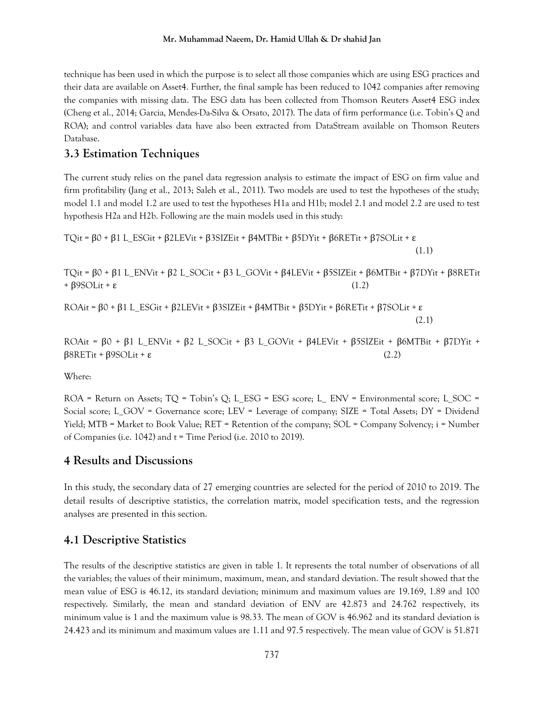technique has been used in which the purpose is to select all those companies which are using ESG practices and their data are available on Asset4. Further, the final sample has been reduced to 1042 companies after removing the companies with missing data. The ESG data has been collected from Thomson Reuters Asset4 ESG index (Cheng et al., 2014; Garcia, Mendes-Da-Silva & Orsato, 2017). The data of firm performance (i.e. Tobin's Q and ROA); and control variables data have also been extracted from DataStream available on Thomson Reuters Database.

### **3.3 Estimation Techniques**

The current study relies on the panel data regression analysis to estimate the impact of ESG on firm value and firm profitability (Jang et al., 2013; Saleh et al., 2011). Two models are used to test the hypotheses of the study; model 1.1 and model 1.2 are used to test the hypotheses H1a and H1b; model 2.1 and model 2.2 are used to test hypothesis H2a and H2b. Following are the main models used in this study:

```
TQit = β0 + β1 L_ESGit + β2LEVit + β3SIZEit + β4MTBit + β5DYit + β6RETit + β7SOLit + ε
                                                                           (1.1)
```
TQit = β0 + β1 L\_ENVit + β2 L\_SOCit + β3 L\_GOVit + β4LEVit + β5SIZEit + β6MTBit + β7DYit + β8RETit  $+$  β9SOLit + ε (1.2)

```
ROAit = β0 + β1 L_ESGit + β2LEVit + β3SIZEit + β4MTBit + β5DYit + β6RETit + β7SOLit + ε
                                                                           (2.1)
```
ROAit =  $\beta$ 0 +  $\beta$ 1 L\_ENVit +  $\beta$ 2 L\_SOCit +  $\beta$ 3 L\_GOVit +  $\beta$ 4LEVit +  $\beta$ 5SIZEit +  $\beta$ 6MTBit +  $\beta$ 7DYit +  $\beta$ 8RETit +  $\beta$ 9SOLit + ε (2.2)

Where:

 $ROA = Return on Assets$ ;  $TO = Tobin's Q$ ; L\_ESG = ESG score; L\_ENV = Environmental score; L\_SOC = Social score; L\_GOV = Governance score; LEV = Leverage of company; SIZE = Total Assets; DY = Dividend Yield; MTB = Market to Book Value; RET = Retention of the company; SOL = Company Solvency; i = Number of Companies (i.e. 1042) and  $t = Time$  Period (i.e. 2010 to 2019).

### **4 Results and Discussions**

In this study, the secondary data of 27 emerging countries are selected for the period of 2010 to 2019. The detail results of descriptive statistics, the correlation matrix, model specification tests, and the regression analyses are presented in this section.

### **4.1 Descriptive Statistics**

The results of the descriptive statistics are given in table 1. It represents the total number of observations of all the variables; the values of their minimum, maximum, mean, and standard deviation. The result showed that the mean value of ESG is 46.12, its standard deviation; minimum and maximum values are 19.169, 1.89 and 100 respectively. Similarly, the mean and standard deviation of ENV are 42.873 and 24.762 respectively, its minimum value is 1 and the maximum value is 98.33. The mean of GOV is 46.962 and its standard deviation is 24.423 and its minimum and maximum values are 1.11 and 97.5 respectively. The mean value of GOV is 51.871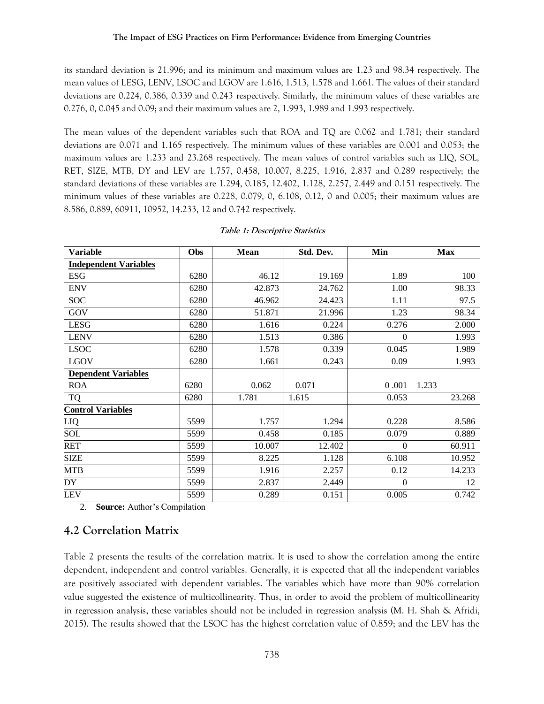its standard deviation is 21.996; and its minimum and maximum values are 1.23 and 98.34 respectively. The mean values of LESG, LENV, LSOC and LGOV are 1.616, 1.513, 1.578 and 1.661. The values of their standard deviations are 0.224, 0.386, 0.339 and 0.243 respectively. Similarly, the minimum values of these variables are 0.276, 0, 0.045 and 0.09; and their maximum values are 2, 1.993, 1.989 and 1.993 respectively.

The mean values of the dependent variables such that ROA and TQ are 0.062 and 1.781; their standard deviations are 0.071 and 1.165 respectively. The minimum values of these variables are 0.001 and 0.053; the maximum values are 1.233 and 23.268 respectively. The mean values of control variables such as LIQ, SOL, RET, SIZE, MTB, DY and LEV are 1.757, 0.458, 10.007, 8.225, 1.916, 2.837 and 0.289 respectively; the standard deviations of these variables are 1.294, 0.185, 12.402, 1.128, 2.257, 2.449 and 0.151 respectively. The minimum values of these variables are 0.228, 0.079, 0, 6.108, 0.12, 0 and 0.005; their maximum values are 8.586, 0.889, 60911, 10952, 14.233, 12 and 0.742 respectively.

| <b>Variable</b>              | <b>Obs</b> | Mean   | Std. Dev. | Min          | <b>Max</b> |
|------------------------------|------------|--------|-----------|--------------|------------|
| <b>Independent Variables</b> |            |        |           |              |            |
| <b>ESG</b>                   | 6280       | 46.12  | 19.169    | 1.89         | 100        |
| <b>ENV</b>                   | 6280       | 42.873 | 24.762    | 1.00         | 98.33      |
| <b>SOC</b>                   | 6280       | 46.962 | 24.423    | 1.11         | 97.5       |
| GOV                          | 6280       | 51.871 | 21.996    | 1.23         | 98.34      |
| <b>LESG</b>                  | 6280       | 1.616  | 0.224     | 0.276        | 2.000      |
| <b>LENV</b>                  | 6280       | 1.513  | 0.386     | $\mathbf{0}$ | 1.993      |
| <b>LSOC</b>                  | 6280       | 1.578  | 0.339     | 0.045        | 1.989      |
| <b>LGOV</b>                  | 6280       | 1.661  | 0.243     | 0.09         | 1.993      |
| <b>Dependent Variables</b>   |            |        |           |              |            |
| <b>ROA</b>                   | 6280       | 0.062  | 0.071     | 0.001        | 1.233      |
| <b>TQ</b>                    | 6280       | 1.781  | 1.615     | 0.053        | 23.268     |
| <b>Control Variables</b>     |            |        |           |              |            |
| LIQ                          | 5599       | 1.757  | 1.294     | 0.228        | 8.586      |
| SOL                          | 5599       | 0.458  | 0.185     | 0.079        | 0.889      |
| RET                          | 5599       | 10.007 | 12.402    | $\Omega$     | 60.911     |
| <b>SIZE</b>                  | 5599       | 8.225  | 1.128     | 6.108        | 10.952     |
| <b>MTB</b>                   | 5599       | 1.916  | 2.257     | 0.12         | 14.233     |
| DY                           | 5599       | 2.837  | 2.449     | $\Omega$     | 12         |
| <b>LEV</b>                   | 5599       | 0.289  | 0.151     | 0.005        | 0.742      |

### **Table 1: Descriptive Statistics**

2. **Source:** Author's Compilation

# **4.2 Correlation Matrix**

Table 2 presents the results of the correlation matrix. It is used to show the correlation among the entire dependent, independent and control variables. Generally, it is expected that all the independent variables are positively associated with dependent variables. The variables which have more than 90% correlation value suggested the existence of multicollinearity. Thus, in order to avoid the problem of multicollinearity in regression analysis, these variables should not be included in regression analysis (M. H. Shah & Afridi, 2015). The results showed that the LSOC has the highest correlation value of 0.859; and the LEV has the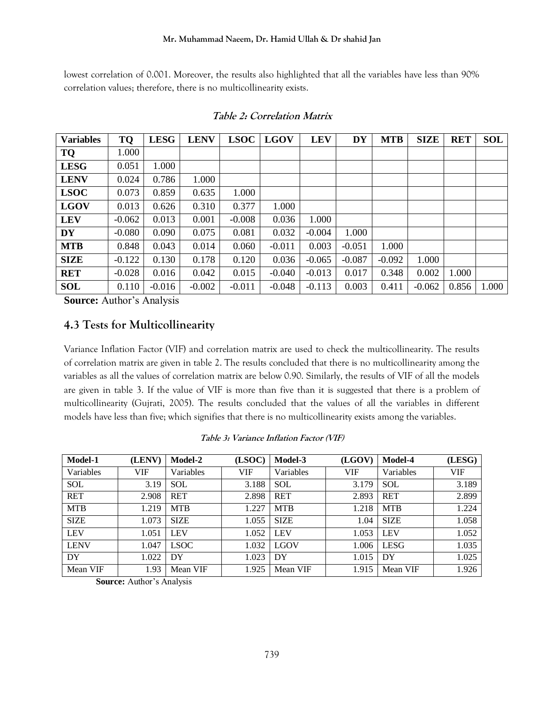lowest correlation of 0.001. Moreover, the results also highlighted that all the variables have less than 90% correlation values; therefore, there is no multicollinearity exists.

| <b>Variables</b> | TQ       | <b>LESG</b> | <b>LENV</b> | <b>LSOC</b> | <b>LGOV</b> | <b>LEV</b> | <b>DY</b> | <b>MTB</b> | <b>SIZE</b> | <b>RET</b> | <b>SOL</b> |
|------------------|----------|-------------|-------------|-------------|-------------|------------|-----------|------------|-------------|------------|------------|
| <b>TQ</b>        | 1.000    |             |             |             |             |            |           |            |             |            |            |
| <b>LESG</b>      | 0.051    | 1.000       |             |             |             |            |           |            |             |            |            |
| <b>LENV</b>      | 0.024    | 0.786       | 1.000       |             |             |            |           |            |             |            |            |
| <b>LSOC</b>      | 0.073    | 0.859       | 0.635       | 1.000       |             |            |           |            |             |            |            |
| <b>LGOV</b>      | 0.013    | 0.626       | 0.310       | 0.377       | 1.000       |            |           |            |             |            |            |
| <b>LEV</b>       | $-0.062$ | 0.013       | 0.001       | $-0.008$    | 0.036       | 1.000      |           |            |             |            |            |
| <b>DY</b>        | $-0.080$ | 0.090       | 0.075       | 0.081       | 0.032       | $-0.004$   | 1.000     |            |             |            |            |
| <b>MTB</b>       | 0.848    | 0.043       | 0.014       | 0.060       | $-0.011$    | 0.003      | $-0.051$  | 1.000      |             |            |            |
| <b>SIZE</b>      | $-0.122$ | 0.130       | 0.178       | 0.120       | 0.036       | $-0.065$   | $-0.087$  | $-0.092$   | 1.000       |            |            |
| <b>RET</b>       | $-0.028$ | 0.016       | 0.042       | 0.015       | $-0.040$    | $-0.013$   | 0.017     | 0.348      | 0.002       | 1.000      |            |
| <b>SOL</b>       | 0.110    | $-0.016$    | $-0.002$    | $-0.011$    | $-0.048$    | $-0.113$   | 0.003     | 0.411      | $-0.062$    | 0.856      | 1.000      |

### **Table 2: Correlation Matrix**

**Source:** Author's Analysis

### **4.3 Tests for Multicollinearity**

Variance Inflation Factor (VIF) and correlation matrix are used to check the multicollinearity. The results of correlation matrix are given in table 2. The results concluded that there is no multicollinearity among the variables as all the values of correlation matrix are below 0.90. Similarly, the results of VIF of all the models are given in table 3. If the value of VIF is more than five than it is suggested that there is a problem of multicollinearity (Gujrati, 2005). The results concluded that the values of all the variables in different models have less than five; which signifies that there is no multicollinearity exists among the variables.

|  | Table 3: Variance Inflation Factor (VIF) |  |  |
|--|------------------------------------------|--|--|
|  |                                          |  |  |

| Model-1     | (LENV) | Model-2     | (LSOC)     | Model-3     | (LGOV) | Model-4     | (LESG) |
|-------------|--------|-------------|------------|-------------|--------|-------------|--------|
| Variables   | VIF    | Variables   | <b>VIF</b> | Variables   | VIF    | Variables   | VIF    |
| <b>SOL</b>  | 3.19   | <b>SOL</b>  | 3.188      | <b>SOL</b>  | 3.179  | <b>SOL</b>  | 3.189  |
| <b>RET</b>  | 2.908  | <b>RET</b>  | 2.898      | <b>RET</b>  | 2.893  | <b>RET</b>  | 2.899  |
| <b>MTB</b>  | 1.219  | <b>MTB</b>  | 1.227      | <b>MTB</b>  | 1.218  | <b>MTB</b>  | 1.224  |
| <b>SIZE</b> | 1.073  | <b>SIZE</b> | 1.055      | <b>SIZE</b> | 1.04   | <b>SIZE</b> | 1.058  |
| <b>LEV</b>  | 1.051  | <b>LEV</b>  | 1.052      | <b>LEV</b>  | 1.053  | <b>LEV</b>  | 1.052  |
| <b>LENV</b> | 1.047  | <b>LSOC</b> | 1.032      | <b>LGOV</b> | 1.006  | <b>LESG</b> | 1.035  |
| DY          | 1.022  | DY          | 1.023      | DY          | 1.015  | DY          | 1.025  |
| Mean VIF    | 1.93   | Mean VIF    | 1.925      | Mean VIF    | 1.915  | Mean VIF    | 1.926  |

**Source:** Author's Analysis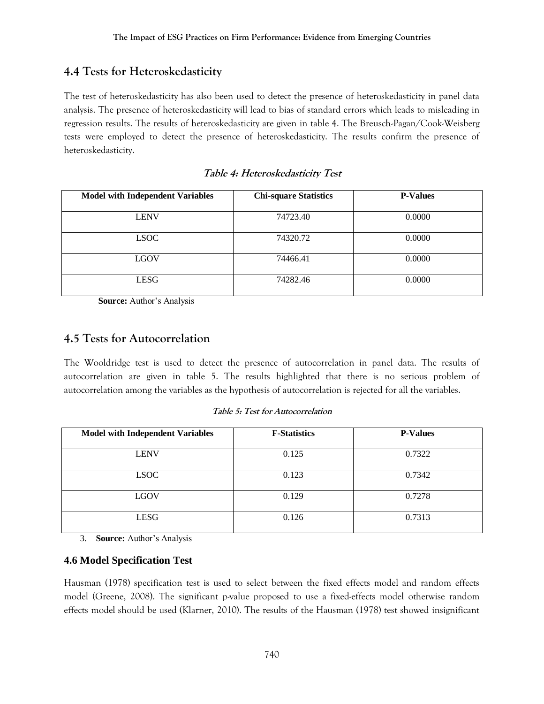# **4.4 Tests for Heteroskedasticity**

The test of heteroskedasticity has also been used to detect the presence of heteroskedasticity in panel data analysis. The presence of heteroskedasticity will lead to bias of standard errors which leads to misleading in regression results. The results of heteroskedasticity are given in table 4. The Breusch-Pagan/Cook-Weisberg tests were employed to detect the presence of heteroskedasticity. The results confirm the presence of heteroskedasticity.

| <b>Model with Independent Variables</b> | <b>Chi-square Statistics</b> | <b>P-Values</b> |
|-----------------------------------------|------------------------------|-----------------|
| <b>LENV</b>                             | 74723.40                     | 0.0000          |
| <b>LSOC</b>                             | 74320.72                     | 0.0000          |
| <b>LGOV</b>                             | 74466.41                     | 0.0000          |
| <b>LESG</b>                             | 74282.46                     | 0.0000          |

| Table 4: Heteroskedasticity Test |  |
|----------------------------------|--|
|----------------------------------|--|

**Source:** Author's Analysis

# **4.5 Tests for Autocorrelation**

The Wooldridge test is used to detect the presence of autocorrelation in panel data. The results of autocorrelation are given in table 5. The results highlighted that there is no serious problem of autocorrelation among the variables as the hypothesis of autocorrelation is rejected for all the variables.

| <b>Model with Independent Variables</b> | <b>F-Statistics</b> | <b>P-Values</b> |
|-----------------------------------------|---------------------|-----------------|
| <b>LENV</b>                             | 0.125               | 0.7322          |
| <b>LSOC</b>                             | 0.123               | 0.7342          |
| <b>LGOV</b>                             | 0.129               | 0.7278          |
| <b>LESG</b>                             | 0.126               | 0.7313          |

**Table 5: Test for Autocorrelation**

3. **Source:** Author's Analysis

### **4.6 Model Specification Test**

Hausman (1978) specification test is used to select between the fixed effects model and random effects model (Greene, 2008). The significant p-value proposed to use a fixed-effects model otherwise random effects model should be used (Klarner, 2010). The results of the Hausman (1978) test showed insignificant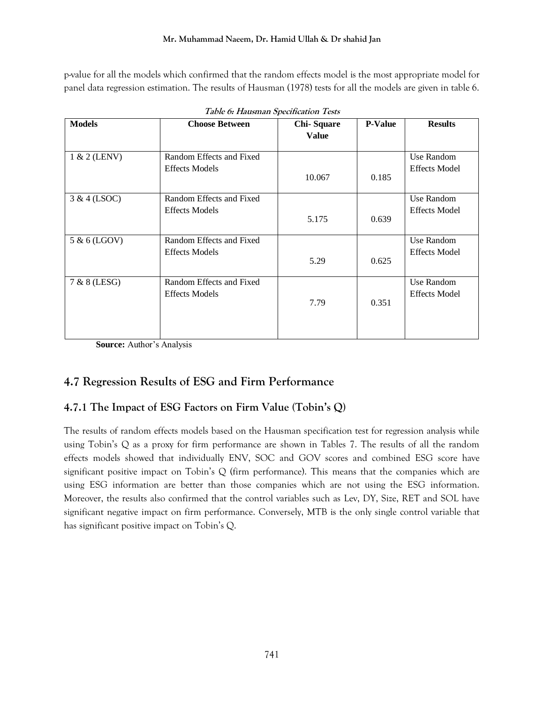p-value for all the models which confirmed that the random effects model is the most appropriate model for panel data regression estimation. The results of Hausman (1978) tests for all the models are given in table 6.

| <b>Models</b> | <b>Choose Between</b>                             | <b>Chi-Square</b><br><b>Value</b> | <b>P-Value</b> | <b>Results</b>                     |
|---------------|---------------------------------------------------|-----------------------------------|----------------|------------------------------------|
| 1 & 2 (LENV)  | Random Effects and Fixed<br><b>Effects Models</b> | 10.067                            | 0.185          | Use Random<br><b>Effects Model</b> |
| 3 & 4 (LSOC)  | Random Effects and Fixed<br><b>Effects Models</b> | 5.175                             | 0.639          | Use Random<br><b>Effects Model</b> |
| 5 & 6 (LGOV)  | Random Effects and Fixed<br><b>Effects Models</b> | 5.29                              | 0.625          | Use Random<br><b>Effects Model</b> |
| 7 & 8 (LESG)  | Random Effects and Fixed<br><b>Effects Models</b> | 7.79                              | 0.351          | Use Random<br><b>Effects Model</b> |

**Source:** Author's Analysis

# **4.7 Regression Results of ESG and Firm Performance**

# **4.7.1 The Impact of ESG Factors on Firm Value (Tobin's Q)**

The results of random effects models based on the Hausman specification test for regression analysis while using Tobin's Q as a proxy for firm performance are shown in Tables 7. The results of all the random effects models showed that individually ENV, SOC and GOV scores and combined ESG score have significant positive impact on Tobin's  $Q$  (firm performance). This means that the companies which are using ESG information are better than those companies which are not using the ESG information. Moreover, the results also confirmed that the control variables such as Lev, DY, Size, RET and SOL have significant negative impact on firm performance. Conversely, MTB is the only single control variable that has significant positive impact on Tobin's Q.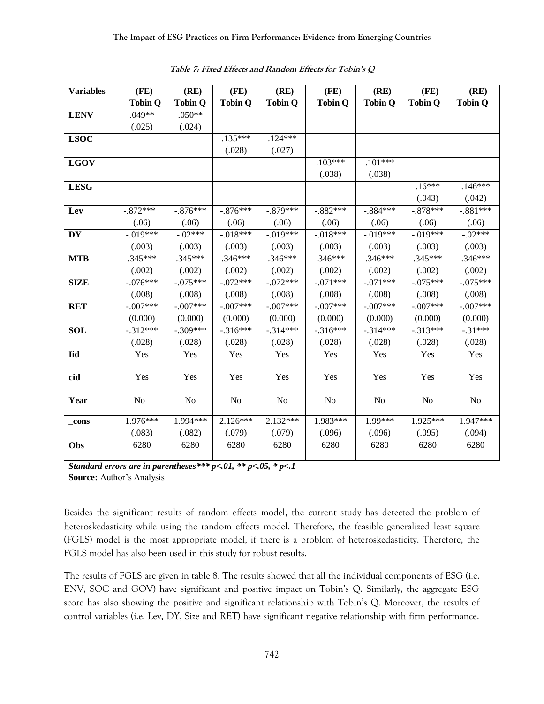| <b>Variables</b> | (FE)           | (RE)           | (FE)           | (RE)           | (FE)           | (RE)           | (FE)           | (RE)           |
|------------------|----------------|----------------|----------------|----------------|----------------|----------------|----------------|----------------|
|                  | <b>Tobin Q</b> | <b>Tobin Q</b> | <b>Tobin Q</b> | <b>Tobin Q</b> | <b>Tobin Q</b> | <b>Tobin Q</b> | <b>Tobin Q</b> | <b>Tobin Q</b> |
| <b>LENV</b>      | $.049**$       | $.050**$       |                |                |                |                |                |                |
|                  | (.025)         | (.024)         |                |                |                |                |                |                |
| <b>LSOC</b>      |                |                | $.135***$      | $.124***$      |                |                |                |                |
|                  |                |                | (.028)         | (.027)         |                |                |                |                |
| <b>LGOV</b>      |                |                |                |                | $.103***$      | $.101***$      |                |                |
|                  |                |                |                |                | (.038)         | (.038)         |                |                |
| <b>LESG</b>      |                |                |                |                |                |                | $.16***$       | $.146***$      |
|                  |                |                |                |                |                |                | (.043)         | (.042)         |
| Lev              | $-.872***$     | $-.876***$     | $-.876***$     | $-.879***$     | $-.882***$     | $-.884***$     | $-.878***$     | $-.881***$     |
|                  | (.06)          | (.06)          | (.06)          | (.06)          | (.06)          | (.06)          | (.06)          | (.06)          |
| <b>DY</b>        | $-.019***$     | $-.02***$      | $-.018***$     | $-.019***$     | $-.018***$     | $-.019***$     | $-.019***$     | $-.02***$      |
|                  | (.003)         | (.003)         | (.003)         | (.003)         | (.003)         | (.003)         | (.003)         | (.003)         |
| <b>MTB</b>       | $.345***$      | $.345***$      | $.346***$      | $.346***$      | $.346***$      | $.346***$      | $.345***$      | $.346***$      |
|                  | (.002)         | (.002)         | (.002)         | (.002)         | (.002)         | (.002)         | (.002)         | (.002)         |
| <b>SIZE</b>      | $-.076***$     | $-.075***$     | $-.072***$     | $-.072***$     | $-.071***$     | $-.071***$     | $-.075***$     | $-.075***$     |
|                  | (.008)         | (.008)         | (.008)         | (.008)         | (.008)         | (.008)         | (.008)         | (.008)         |
| <b>RET</b>       | $-.007***$     | $-.007***$     | $-.007***$     | $-.007***$     | $-.007***$     | $-.007***$     | $-.007***$     | $-.007***$     |
|                  | (0.000)        | (0.000)        | (0.000)        | (0.000)        | (0.000)        | (0.000)        | (0.000)        | (0.000)        |
| <b>SOL</b>       | $-312***$      | $-.309***$     | $-.316***$     | $-.314***$     | $-.316***$     | $-.314***$     | $-.313***$     | $-.31***$      |
|                  | (.028)         | (.028)         | (.028)         | (.028)         | (.028)         | (.028)         | (.028)         | (.028)         |
| <b>Iid</b>       | Yes            | Yes            | Yes            | Yes            | Yes            | Yes            | Yes            | Yes            |
| cid              | Yes            | Yes            | Yes            | Yes            | Yes            | Yes            | Yes            | Yes            |
|                  |                |                |                |                |                |                |                |                |
| Year             | N <sub>o</sub> | N <sub>o</sub> | N <sub>o</sub> | N <sub>o</sub> | No             | No             | N <sub>o</sub> | N <sub>o</sub> |
| _cons            | $1.976***$     | 1.994***       | $2.126***$     | $2.132***$     | 1.983***       | 1.99***        | 1.925***       | 1.947***       |
|                  | (.083)         | (.082)         | (.079)         | (.079)         | (.096)         | (.096)         | (.095)         | (.094)         |
| Obs              | 6280           | 6280           | 6280           | 6280           | 6280           | 6280           | 6280           | 6280           |

**Table 7: Fixed Effects and Random Effects for Tobin's Q**

*Standard errors are in parentheses\*\*\* p<.01, \*\* p<.05, \* p<.1*  **Source:** Author's Analysis

Besides the significant results of random effects model, the current study has detected the problem of heteroskedasticity while using the random effects model. Therefore, the feasible generalized least square (FGLS) model is the most appropriate model, if there is a problem of heteroskedasticity. Therefore, the FGLS model has also been used in this study for robust results.

The results of FGLS are given in table 8. The results showed that all the individual components of ESG (i.e. ENV, SOC and GOV) have significant and positive impact on Tobin's Q. Similarly, the aggregate ESG score has also showing the positive and significant relationship with Tobin's Q. Moreover, the results of control variables (i.e. Lev, DY, Size and RET) have significant negative relationship with firm performance.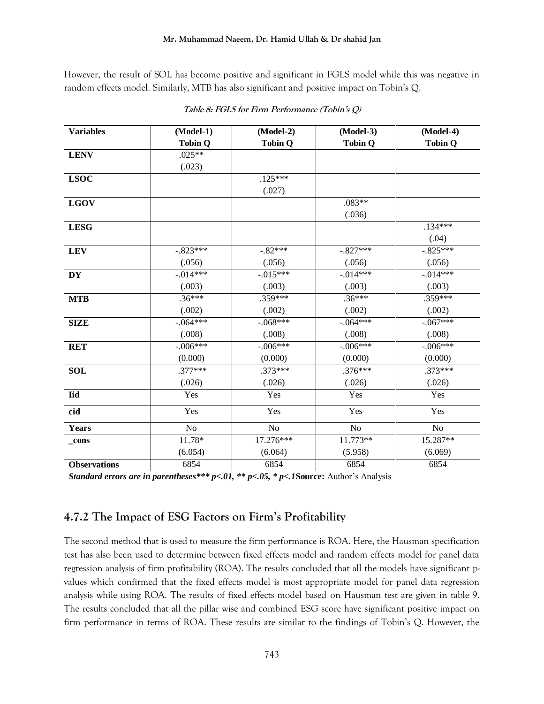However, the result of SOL has become positive and significant in FGLS model while this was negative in random effects model. Similarly, MTB has also significant and positive impact on Tobin's Q.

| <b>Variables</b>    | (Model-1)      | $(Model-2)$    | (Model-3)      | (Model-4)      |
|---------------------|----------------|----------------|----------------|----------------|
|                     | <b>Tobin Q</b> | <b>Tobin Q</b> | <b>Tobin Q</b> | <b>Tobin Q</b> |
| <b>LENV</b>         | $.025**$       |                |                |                |
|                     | (.023)         |                |                |                |
| <b>LSOC</b>         |                | $.125***$      |                |                |
|                     |                | (.027)         |                |                |
| <b>LGOV</b>         |                |                | $.083**$       |                |
|                     |                |                | (.036)         |                |
| <b>LESG</b>         |                |                |                | $.134***$      |
|                     |                |                |                | (.04)          |
| <b>LEV</b>          | $-.823***$     | $-.82***$      | $-.827***$     | $-.825***$     |
|                     | (.056)         | (.056)         | (.056)         | (.056)         |
| <b>DY</b>           | $-0.014***$    | $-0.015***$    | $-0.014***$    | $-0.014***$    |
|                     | (.003)         | (.003)         | (.003)         | (.003)         |
| <b>MTB</b>          | $.36***$       | $.359***$      | $.36***$       | $.359***$      |
|                     | (.002)         | (.002)         | (.002)         | (.002)         |
| <b>SIZE</b>         | $-.064***$     | $-.068***$     | $-.064***$     | $-.067***$     |
|                     | (.008)         | (.008)         | (.008)         | (.008)         |
| <b>RET</b>          | $-.006***$     | $-.006***$     | $-.006***$     | $-.006***$     |
|                     | (0.000)        | (0.000)        | (0.000)        | (0.000)        |
| <b>SOL</b>          | $.377***$      | $.373***$      | $.376***$      | $.373***$      |
|                     | (.026)         | (.026)         | (.026)         | (.026)         |
| <b>Iid</b>          | Yes            | Yes            | Yes            | Yes            |
| cid                 | Yes            | Yes            | Yes            | Yes            |
| Years               | N <sub>o</sub> | N <sub>o</sub> | N <sub>o</sub> | No             |
| _cons               | 11.78*         | 17.276***      | 11.773**       | 15.287**       |
|                     | (6.054)        | (6.064)        | (5.958)        | (6.069)        |
| <b>Observations</b> | 6854           | 6854           | 6854           | 6854           |

|  |  | Table 8: FGLS for Firm Performance (Tobin's Q) |  |
|--|--|------------------------------------------------|--|
|--|--|------------------------------------------------|--|

*Standard errors are in parentheses\*\*\* p<.01, \*\* p<.05, \* p<.1***Source:** Author's Analysis

# **4.7.2 The Impact of ESG Factors on Firm's Profitability**

The second method that is used to measure the firm performance is ROA. Here, the Hausman specification test has also been used to determine between fixed effects model and random effects model for panel data regression analysis of firm profitability (ROA). The results concluded that all the models have significant pvalues which confirmed that the fixed effects model is most appropriate model for panel data regression analysis while using ROA. The results of fixed effects model based on Hausman test are given in table 9. The results concluded that all the pillar wise and combined ESG score have significant positive impact on firm performance in terms of ROA. These results are similar to the findings of Tobin's Q. However, the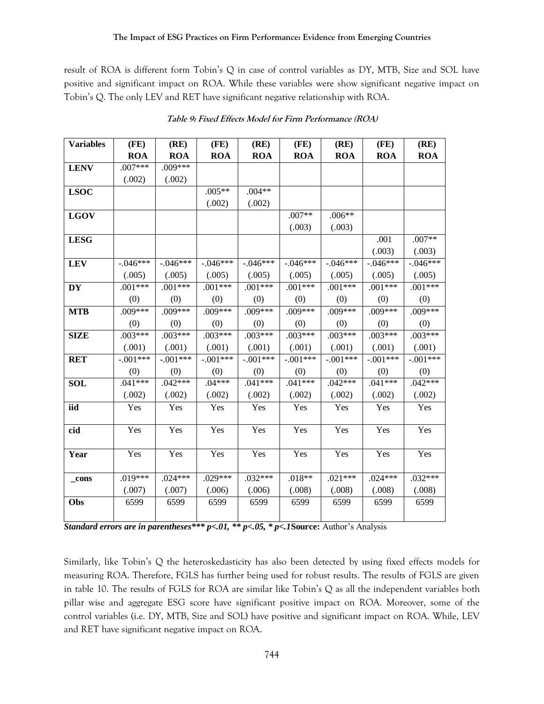result of ROA is different form Tobin's Q in case of control variables as DY, MTB, Size and SOL have positive and significant impact on ROA. While these variables were show significant negative impact on Tobin's Q. The only LEV and RET have significant negative relationship with ROA.

| <b>Variables</b> | (FE)       | (RE)       | (FE)       | (RE)       | (FE)       | (RE)       | (FE)        | (RE)       |
|------------------|------------|------------|------------|------------|------------|------------|-------------|------------|
|                  | <b>ROA</b> | <b>ROA</b> | <b>ROA</b> | <b>ROA</b> | <b>ROA</b> | <b>ROA</b> | <b>ROA</b>  | <b>ROA</b> |
| <b>LENV</b>      | $.007***$  | $.009***$  |            |            |            |            |             |            |
|                  | (.002)     | (.002)     |            |            |            |            |             |            |
| <b>LSOC</b>      |            |            | $.005**$   | $.004**$   |            |            |             |            |
|                  |            |            | (.002)     | (.002)     |            |            |             |            |
| <b>LGOV</b>      |            |            |            |            | $.007**$   | $.006**$   |             |            |
|                  |            |            |            |            | (.003)     | (.003)     |             |            |
| <b>LESG</b>      |            |            |            |            |            |            | .001        | $.007**$   |
|                  |            |            |            |            |            |            | (.003)      | (.003)     |
| <b>LEV</b>       | $-.046***$ | $-.046***$ | $-.046***$ | $-.046***$ | $-.046***$ | $-.046***$ | $-.046***$  | $-.046***$ |
|                  | (.005)     | (.005)     | (.005)     | (.005)     | (.005)     | (.005)     | (.005)      | (.005)     |
| <b>DY</b>        | $.001***$  | $.001***$  | $.001***$  | $.001***$  | $.001***$  | $.001***$  | $.001***$   | $.001***$  |
|                  | (0)        | (0)        | (0)        | (0)        | (0)        | (0)        | (0)         | (0)        |
| <b>MTB</b>       | .009***    | $.009***$  | .009***    | .009***    | .009***    | .009***    | .009***     | $.009***$  |
|                  | (0)        | (0)        | (0)        | (0)        | (0)        | (0)        | (0)         | (0)        |
| <b>SIZE</b>      | $.003***$  | $.003***$  | $.003***$  | $.003***$  | $.003***$  | $.003***$  | $.003***$   | $.003***$  |
|                  | (.001)     | (.001)     | (.001)     | (.001)     | (.001)     | (.001)     | (.001)      | (.001)     |
| <b>RET</b>       | $-.001***$ | $-.001***$ | $-0.01***$ | $-0.01***$ | $-0.01***$ | $-0.01***$ | $-0.001***$ | $-.001***$ |
|                  | (0)        | (0)        | (0)        | (0)        | (0)        | (0)        | (0)         | (0)        |
| <b>SOL</b>       | $.041***$  | $.042***$  | $.04***$   | $.041***$  | $.041***$  | $.042***$  | $.041***$   | $.042***$  |
|                  | (.002)     | (.002)     | (.002)     | (.002)     | (.002)     | (.002)     | (.002)      | (.002)     |
| iid              | Yes        | Yes        | Yes        | Yes        | Yes        | Yes        | Yes         | Yes        |
|                  |            |            |            |            |            |            |             |            |
| cid              | Yes        | Yes        | Yes        | Yes        | Yes        | Yes        | Yes         | Yes        |
|                  |            |            |            |            |            |            |             |            |
| Year             | Yes        | Yes        | Yes        | Yes        | Yes        | Yes        | Yes         | Yes        |
|                  |            |            |            |            |            |            |             |            |
| _cons            | $.019***$  | $.024***$  | $.029***$  | $.032***$  | $.018**$   | $.021***$  | $.024***$   | $.032***$  |
|                  | (.007)     | (.007)     | (.006)     | (.006)     | (.008)     | (.008)     | (.008)      | (.008)     |
| Obs              | 6599       | 6599       | 6599       | 6599       | 6599       | 6599       | 6599        | 6599       |
|                  |            |            |            |            |            |            |             |            |

**Table 9: Fixed Effects Model for Firm Performance (ROA)**

*Standard errors are in parentheses\*\*\* p<.01, \*\* p<.05, \* p<.1***Source:** Author's Analysis

Similarly, like Tobin's Q the heteroskedasticity has also been detected by using fixed effects models for measuring ROA. Therefore, FGLS has further being used for robust results. The results of FGLS are given in table 10. The results of FGLS for ROA are similar like Tobin's Q as all the independent variables both pillar wise and aggregate ESG score have significant positive impact on ROA. Moreover, some of the control variables (i.e. DY, MTB, Size and SOL) have positive and significant impact on ROA. While, LEV and RET have significant negative impact on ROA.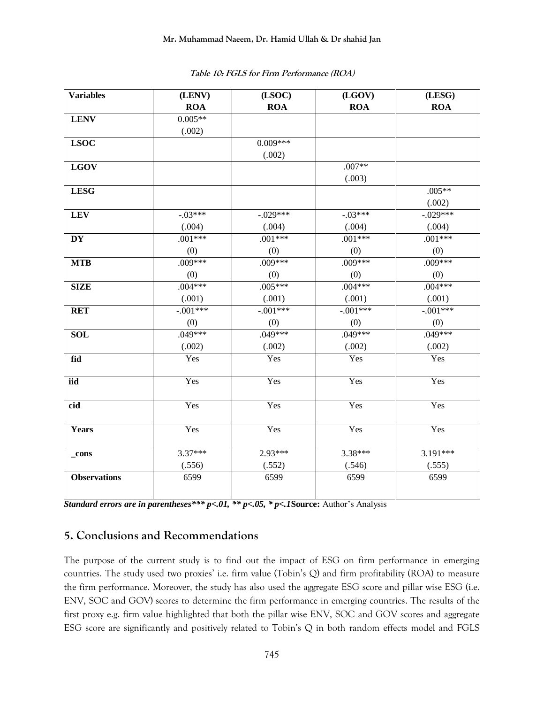| <b>Variables</b>    | (LENV)     | (LSOC)      | (LGOV)     | (LESG)      |
|---------------------|------------|-------------|------------|-------------|
|                     | <b>ROA</b> | <b>ROA</b>  | <b>ROA</b> | <b>ROA</b>  |
| <b>LENV</b>         | $0.005**$  |             |            |             |
|                     | (.002)     |             |            |             |
| <b>LSOC</b>         |            | $0.009***$  |            |             |
|                     |            | (.002)      |            |             |
| <b>LGOV</b>         |            |             | $.007**$   |             |
|                     |            |             | (.003)     |             |
| <b>LESG</b>         |            |             |            | $.005**$    |
|                     |            |             |            | (.002)      |
| <b>LEV</b>          | $-03***$   | $-0.029***$ | $-03***$   | $-0.029***$ |
|                     | (.004)     | (.004)      | (.004)     | (.004)      |
| <b>DY</b>           | $.001***$  | $.001***$   | $.001***$  | $.001***$   |
|                     | (0)        | (0)         | (0)        | (0)         |
| <b>MTB</b>          | $.009***$  | $.009***$   | $.009***$  | $.009***$   |
|                     | (0)        | (0)         | (0)        | (0)         |
| <b>SIZE</b>         | $.004***$  | $.005***$   | $.004***$  | $.004***$   |
|                     | (.001)     | (.001)      | (.001)     | (.001)      |
| <b>RET</b>          | $-.001***$ | $-.001***$  | $-.001***$ | $-.001***$  |
|                     | (0)        | (0)         | (0)        | (0)         |
| <b>SOL</b>          | $.049***$  | $.049***$   | $.049***$  | $.049***$   |
|                     | (.002)     | (.002)      | (.002)     | (.002)      |
| fid                 | Yes        | Yes         | Yes        | Yes         |
| iid                 | Yes        | Yes         | Yes        | Yes         |
| cid                 | Yes        | Yes         | Yes        | Yes         |
|                     |            |             |            |             |
| <b>Years</b>        | Yes        | Yes         | Yes        | Yes         |
| _cons               | $3.37***$  | $2.93***$   | 3.38***    | $3.191***$  |
|                     | (.556)     | (.552)      | (.546)     | (.555)      |
| <b>Observations</b> | 6599       | 6599        | 6599       | 6599        |

**Table 10: FGLS for Firm Performance (ROA)**

*Standard errors are in parentheses\*\*\* p<.01, \*\* p<.05, \* p<.1***Source:** Author's Analysis

### **5. Conclusions and Recommendations**

The purpose of the current study is to find out the impact of ESG on firm performance in emerging countries. The study used two proxies' i.e. firm value (Tobin's Q) and firm profitability (ROA) to measure the firm performance. Moreover, the study has also used the aggregate ESG score and pillar wise ESG (i.e. ENV, SOC and GOV) scores to determine the firm performance in emerging countries. The results of the first proxy e.g. firm value highlighted that both the pillar wise ENV, SOC and GOV scores and aggregate ESG score are significantly and positively related to Tobin's Q in both random effects model and FGLS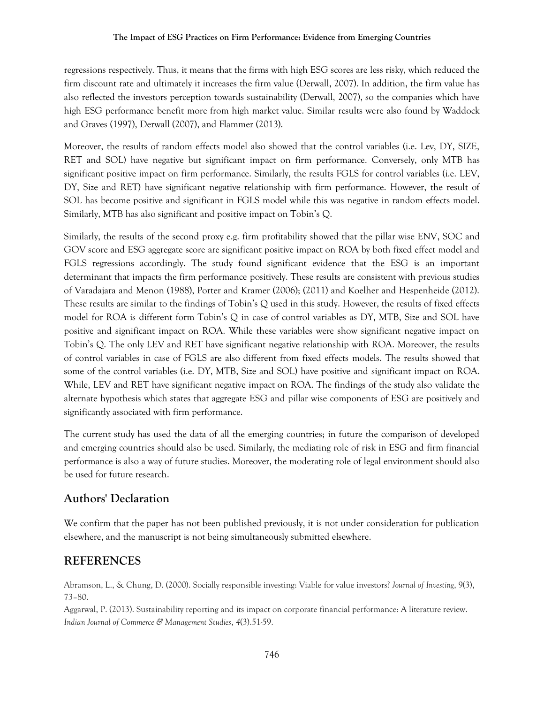regressions respectively. Thus, it means that the firms with high ESG scores are less risky, which reduced the firm discount rate and ultimately it increases the firm value (Derwall, 2007). In addition, the firm value has also reflected the investors perception towards sustainability (Derwall, 2007), so the companies which have high ESG performance benefit more from high market value. Similar results were also found by Waddock and Graves (1997), Derwall (2007), and Flammer (2013).

Moreover, the results of random effects model also showed that the control variables (i.e. Lev, DY, SIZE, RET and SOL) have negative but significant impact on firm performance. Conversely, only MTB has significant positive impact on firm performance. Similarly, the results FGLS for control variables (i.e. LEV, DY, Size and RET) have significant negative relationship with firm performance. However, the result of SOL has become positive and significant in FGLS model while this was negative in random effects model. Similarly, MTB has also significant and positive impact on Tobin's Q.

Similarly, the results of the second proxy e.g. firm profitability showed that the pillar wise ENV, SOC and GOV score and ESG aggregate score are significant positive impact on ROA by both fixed effect model and FGLS regressions accordingly. The study found significant evidence that the ESG is an important determinant that impacts the firm performance positively. These results are consistent with previous studies of Varadajara and Menon (1988), Porter and Kramer (2006); (2011) and Koelher and Hespenheide (2012). These results are similar to the findings of Tobin's Q used in this study. However, the results of fixed effects model for ROA is different form Tobin's Q in case of control variables as DY, MTB, Size and SOL have positive and significant impact on ROA. While these variables were show significant negative impact on Tobin's Q. The only LEV and RET have significant negative relationship with ROA. Moreover, the results of control variables in case of FGLS are also different from fixed effects models. The results showed that some of the control variables (i.e. DY, MTB, Size and SOL) have positive and significant impact on ROA. While, LEV and RET have significant negative impact on ROA. The findings of the study also validate the alternate hypothesis which states that aggregate ESG and pillar wise components of ESG are positively and significantly associated with firm performance.

The current study has used the data of all the emerging countries; in future the comparison of developed and emerging countries should also be used. Similarly, the mediating role of risk in ESG and firm financial performance is also a way of future studies. Moreover, the moderating role of legal environment should also be used for future research.

### **Authors' Declaration**

We confirm that the paper has not been published previously, it is not under consideration for publication elsewhere, and the manuscript is not being simultaneously submitted elsewhere.

# **REFERENCES**

Abramson, L., & Chung, D. (2000). Socially responsible investing: Viable for value investors? *Journal of Investing*, 9(3), 73–80.

Aggarwal, P. (2013). Sustainability reporting and its impact on corporate financial performance: A literature review. *Indian Journal of Commerce & Management Studies*, *4*(3).51-59.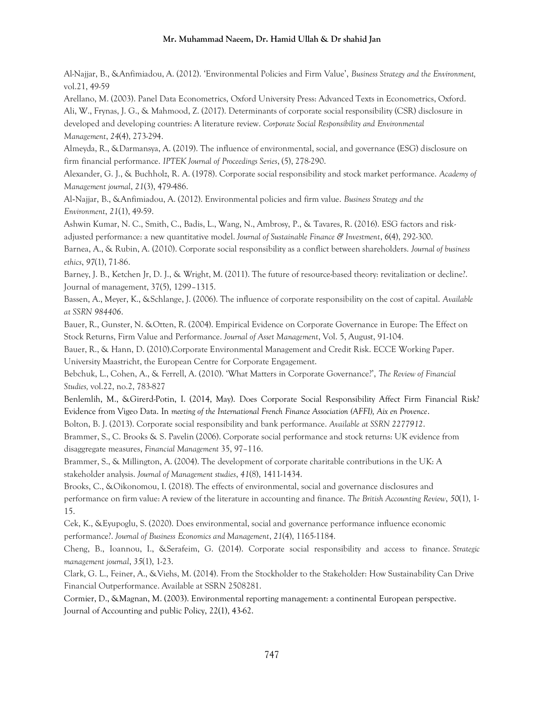Al-Najjar, B., &Anfimiadou, A. (2012). 'Environmental Policies and Firm Value', *Business Strategy and the Environment,*  vol.21, 49-59

Arellano, M. (2003). Panel Data Econometrics, Oxford University Press: Advanced Texts in Econometrics, Oxford.

Ali, W., Frynas, J. G., & Mahmood, Z. (2017). Determinants of corporate social responsibility (CSR) disclosure in developed and developing countries: A literature review. *Corporate Social Responsibility and Environmental Management*, *24*(4), 273-294.

Almeyda, R., &Darmansya, A. (2019). The influence of environmental, social, and governance (ESG) disclosure on firm financial performance. *IPTEK Journal of Proceedings Series*, (5), 278-290.

Alexander, G. J., & Buchholz, R. A. (1978). Corporate social responsibility and stock market performance. *Academy of Management journal*, *21*(3), 479-486.

Al‐Najjar, B., &Anfimiadou, A. (2012). Environmental policies and firm value. *Business Strategy and the Environment*, *21*(1), 49-59.

Ashwin Kumar, N. C., Smith, C., Badis, L., Wang, N., Ambrosy, P., & Tavares, R. (2016). ESG factors and riskadjusted performance: a new quantitative model. *Journal of Sustainable Finance & Investment*, *6*(4), 292-300.

Barnea, A., & Rubin, A. (2010). Corporate social responsibility as a conflict between shareholders. *Journal of business ethics*, *97*(1), 71-86.

Barney, J. B., Ketchen Jr, D. J., & Wright, M. (2011). The future of resource-based theory: revitalization or decline?. Journal of management, 37(5), 1299–1315.

Bassen, A., Meyer, K., &Schlange, J. (2006). The influence of corporate responsibility on the cost of capital. *Available at SSRN 984406*.

Bauer, R., Gunster, N. &Otten, R. (2004). Empirical Evidence on Corporate Governance in Europe: The Effect on Stock Returns, Firm Value and Performance. *Journal of Asset Management*, Vol. 5, August, 91-104.

Bauer, R., & Hann, D. (2010).Corporate Environmental Management and Credit Risk. ECCE Working Paper. University Maastricht, the European Centre for Corporate Engagement.

Bebchuk, L., Cohen, A., & Ferrell, A. (2010). 'What Matters in Corporate Governance?', *The Review of Financial Studies,* vol.22, no.2, 783-827

Benlemlih, M., &Girerd-Potin, I. (2014, May). Does Corporate Social Responsibility Affect Firm Financial Risk? Evidence from Vigeo Data. In *meeting of the International French Finance Association (AFFI), Aix en Provence*.

Bolton, B. J. (2013). Corporate social responsibility and bank performance. *Available at SSRN 2277912*.

Brammer, S., C. Brooks & S. Pavelin (2006). Corporate social performance and stock returns: UK evidence from disaggregate measures, *Financial Management* 35, 97–116.

Brammer, S., & Millington, A. (2004). The development of corporate charitable contributions in the UK: A stakeholder analysis. *Journal of Management studies*, *41*(8), 1411-1434.

Brooks, C., &Oikonomou, I. (2018). The effects of environmental, social and governance disclosures and performance on firm value: A review of the literature in accounting and finance. *The British Accounting Review*, *50*(1), 1- 15.

Cek, K., &Eyupoglu, S. (2020). Does environmental, social and governance performance influence economic performance?. *Journal of Business Economics and Management*, *21*(4), 1165-1184.

Cheng, B., Ioannou, I., &Serafeim, G. (2014). Corporate social responsibility and access to finance. *Strategic management journal*, *35*(1), 1-23.

Clark, G. L., Feiner, A., &Viehs, M. (2014). From the Stockholder to the Stakeholder: How Sustainability Can Drive Financial Outperformance. Available at SSRN 2508281.

Cormier, D., &Magnan, M. (2003). Environmental reporting management: a continental European perspective. Journal of Accounting and public Policy, 22(1), 43-62.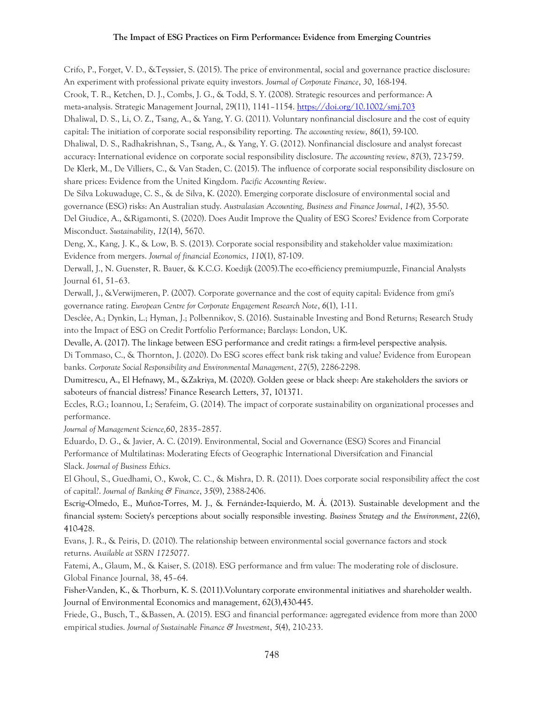Crifo, P., Forget, V. D., &Teyssier, S. (2015). The price of environmental, social and governance practice disclosure: An experiment with professional private equity investors. *Journal of Corporate Finance*, *30*, 168-194. Crook, T. R., Ketchen, D. J., Combs, J. G., & Todd, S. Y. (2008). Strategic resources and performance: A meta‐analysis. Strategic Management Journal, 29(11), 1141–1154.<https://doi.org/10.1002/smj.703> Dhaliwal, D. S., Li, O. Z., Tsang, A., & Yang, Y. G. (2011). Voluntary nonfinancial disclosure and the cost of equity capital: The initiation of corporate social responsibility reporting. *The accounting review*, *86*(1), 59-100. Dhaliwal, D. S., Radhakrishnan, S., Tsang, A., & Yang, Y. G. (2012). Nonfinancial disclosure and analyst forecast accuracy: International evidence on corporate social responsibility disclosure. *The accounting review*, *87*(3), 723-759. De Klerk, M., De Villiers, C., & Van Staden, C. (2015). The influence of corporate social responsibility disclosure on share prices: Evidence from the United Kingdom. *Pacific Accounting Review*. De Silva Lokuwaduge, C. S., & de Silva, K. (2020). Emerging corporate disclosure of environmental social and governance (ESG) risks: An Australian study. *Australasian Accounting, Business and Finance Journal*, *14*(2), 35-50. Del Giudice, A., &Rigamonti, S. (2020). Does Audit Improve the Quality of ESG Scores? Evidence from Corporate Misconduct. *Sustainability*, *12*(14), 5670. Deng, X., Kang, J. K., & Low, B. S. (2013). Corporate social responsibility and stakeholder value maximization: Evidence from mergers. *Journal of financial Economics*, *110*(1), 87-109. Derwall, J., N. Guenster, R. Bauer, & K.C.G. Koedijk (2005).The eco-efficiency premiumpuzzle, Financial Analysts Journal 61, 51–63. Derwall, J., &Verwijmeren, P. (2007). Corporate governance and the cost of equity capital: Evidence from gmi's governance rating. *European Centre for Corporate Engagement Research Note*, *6*(1), 1-11. Desclée, A.; Dynkin, L.; Hyman, J.; Polbennikov, S. (2016). Sustainable Investing and Bond Returns; Research Study into the Impact of ESG on Credit Portfolio Performance; Barclays: London, UK. Devalle, A. (2017). The linkage between ESG performance and credit ratings: a firm-level perspective analysis. Di Tommaso, C., & Thornton, J. (2020). Do ESG scores effect bank risk taking and value? Evidence from European banks. *Corporate Social Responsibility and Environmental Management*, *27*(5), 2286-2298. Dumitrescu, A., El Hefnawy, M., &Zakriya, M. (2020). Golden geese or black sheep: Are stakeholders the saviors or saboteurs of fnancial distress? Finance Research Letters, 37, 101371. Eccles, R.G.; Ioannou, I.; Serafeim, G. (2014). The impact of corporate sustainability on organizational processes and performance. *Journal of Management Science,60*, 2835–2857. Eduardo, D. G., & Javier, A. C. (2019). Environmental, Social and Governance (ESG) Scores and Financial Performance of Multilatinas: Moderating Efects of Geographic International Diversifcation and Financial Slack. *Journal of Business Ethics*. El Ghoul, S., Guedhami, O., Kwok, C. C., & Mishra, D. R. (2011). Does corporate social responsibility affect the cost of capital?. *Journal of Banking & Finance*, *35*(9), 2388-2406. Escrig‐Olmedo, E., Muñoz‐Torres, M. J., & Fernández‐Izquierdo, M. Á. (2013). Sustainable development and the financial system: Society's perceptions about socially responsible investing. *Business Strategy and the Environment*, *22*(6), 410-428. Evans, J. R., & Peiris, D. (2010). The relationship between environmental social governance factors and stock returns. *Available at SSRN 1725077*. Fatemi, A., Glaum, M., & Kaiser, S. (2018). ESG performance and frm value: The moderating role of disclosure. Global Finance Journal, 38, 45–64.

Fisher-Vanden, K., & Thorburn, K. S. (2011).Voluntary corporate environmental initiatives and shareholder wealth. Journal of Environmental Economics and management, 62(3),430-445.

Friede, G., Busch, T., &Bassen, A. (2015). ESG and financial performance: aggregated evidence from more than 2000 empirical studies. *Journal of Sustainable Finance & Investment*, *5*(4), 210-233.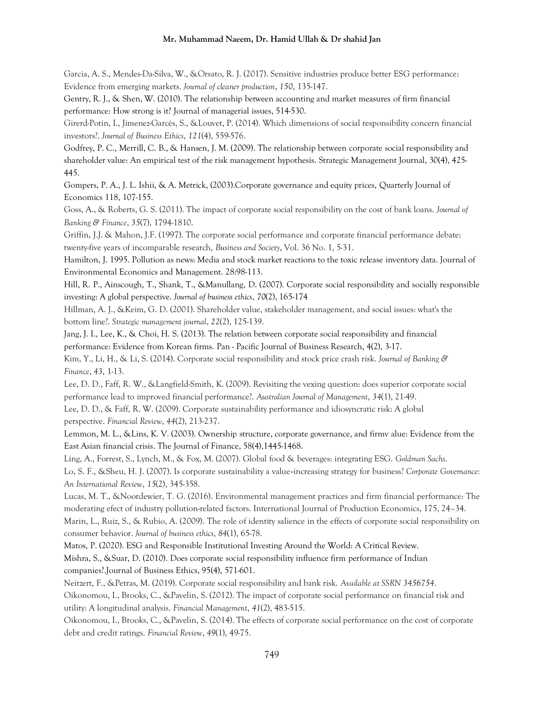Garcia, A. S., Mendes-Da-Silva, W., &Orsato, R. J. (2017). Sensitive industries produce better ESG performance: Evidence from emerging markets. *Journal of cleaner production*, *150*, 135-147.

Gentry, R. J., & Shen, W. (2010). The relationship between accounting and market measures of firm financial performance: How strong is it? Journal of managerial issues, 514-530.

Girerd-Potin, I., Jimenez-Garcès, S., &Louvet, P. (2014). Which dimensions of social responsibility concern financial investors?. *Journal of Business Ethics*, *121*(4), 559-576.

Godfrey, P. C., Merrill, C. B., & Hansen, J. M. (2009). The relationship between corporate social responsibility and shareholder value: An empirical test of the risk management hypothesis. Strategic Management Journal, 30(4), 425- 445.

Gompers, P. A., J. L. Ishii, & A. Metrick, (2003).Corporate governance and equity prices, Quarterly Journal of Economics 118, 107-155.

Goss, A., & Roberts, G. S. (2011). The impact of corporate social responsibility on the cost of bank loans. *Journal of Banking & Finance*, *35*(7), 1794-1810.

Griffin, J.J. & Mahon, J.F. (1997). The corporate social performance and corporate financial performance debate: twenty-five years of incomparable research, *Business and Society*, Vol. 36 No. 1, 5-31.

Hamilton, J. 1995. Pollution as news: Media and stock market reactions to the toxic release inventory data. Journal of Environmental Economics and Management. 28:98-113.

Hill, R. P., Ainscough, T., Shank, T., &Manullang, D. (2007). Corporate social responsibility and socially responsible investing: A global perspective. *Journal of business ethics*, *70*(2), 165-174

Hillman, A. J., &Keim, G. D. (2001). Shareholder value, stakeholder management, and social issues: what's the bottom line?. *Strategic management journal*, *22*(2), 125-139.

Jang, J. I., Lee, K., & Choi, H. S. (2013). The relation between corporate social responsibility and financial performance: Evidence from Korean firms. Pan - Pacific Journal of Business Research, 4(2), 3-17.

Kim, Y., Li, H., & Li, S. (2014). Corporate social responsibility and stock price crash risk. *Journal of Banking & Finance*, *43*, 1-13.

Lee, D. D., Faff, R. W., &Langfield-Smith, K. (2009). Revisiting the vexing question: does superior corporate social performance lead to improved financial performance?. *Australian Journal of Management*, *34*(1), 21-49.

Lee, D. D., & Faff, R. W. (2009). Corporate sustainability performance and idiosyncratic risk: A global perspective. *Financial Review*, *44*(2), 213-237.

Lemmon, M. L., &Lins, K. V. (2003). Ownership structure, corporate governance, and firmv alue: Evidence from the East Asian financial crisis. The Journal of Finance, 58(4),1445-1468.

Ling, A., Forrest, S., Lynch, M., & Fox, M. (2007). Global food & beverages: integrating ESG. *Goldman Sachs*.

Lo, S. F., &Sheu, H. J. (2007). Is corporate sustainability a value‐increasing strategy for business? *Corporate Governance: An International Review*, *15*(2), 345-358.

Lucas, M. T., &Noordewier, T. G. (2016). Environmental management practices and firm financial performance: The moderating efect of industry pollution-related factors. International Journal of Production Economics, 175, 24–34.

Marin, L., Ruiz, S., & Rubio, A. (2009). The role of identity salience in the effects of corporate social responsibility on consumer behavior. *Journal of business ethics*, *84*(1), 65-78.

Matos, P. (2020). ESG and Responsible Institutional Investing Around the World: A Critical Review.

Mishra, S., &Suar, D. (2010). Does corporate social responsibility influence firm performance of Indian companies?.Journal of Business Ethics, 95(4), 571-601.

Neitzert, F., &Petras, M. (2019). Corporate social responsibility and bank risk. *Available at SSRN 3456754*.

Oikonomou, I., Brooks, C., &Pavelin, S. (2012). The impact of corporate social performance on financial risk and utility: A longitudinal analysis. *Financial Management*, *41*(2), 483-515.

Oikonomou, I., Brooks, C., &Pavelin, S. (2014). The effects of corporate social performance on the cost of corporate debt and credit ratings. *Financial Review*, *49*(1), 49-75.